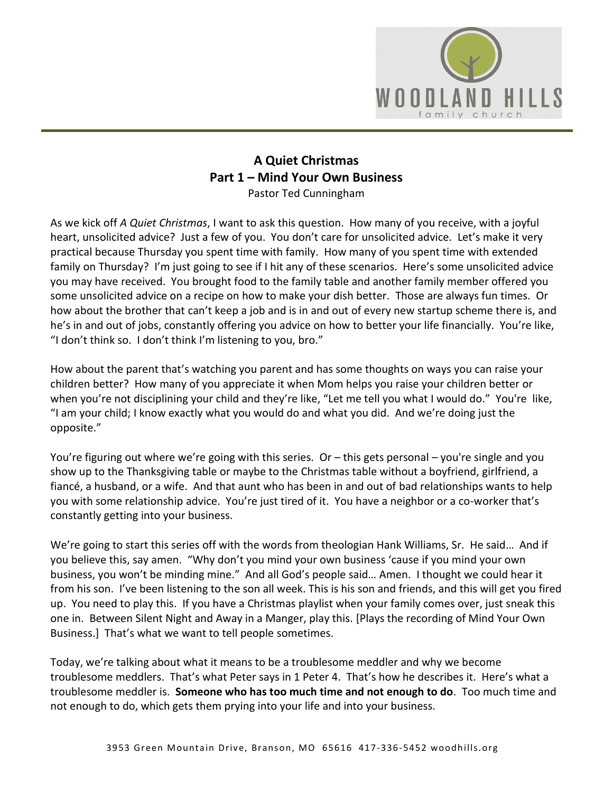

## **A Quiet Christmas Part 1 – Mind Your Own Business** Pastor Ted Cunningham

As we kick off *A Quiet Christmas*, I want to ask this question. How many of you receive, with a joyful heart, unsolicited advice? Just a few of you. You don't care for unsolicited advice. Let's make it very practical because Thursday you spent time with family. How many of you spent time with extended family on Thursday? I'm just going to see if I hit any of these scenarios. Here's some unsolicited advice you may have received. You brought food to the family table and another family member offered you some unsolicited advice on a recipe on how to make your dish better. Those are always fun times. Or how about the brother that can't keep a job and is in and out of every new startup scheme there is, and he's in and out of jobs, constantly offering you advice on how to better your life financially. You're like, "I don't think so. I don't think I'm listening to you, bro."

How about the parent that's watching you parent and has some thoughts on ways you can raise your children better? How many of you appreciate it when Mom helps you raise your children better or when you're not disciplining your child and they're like, "Let me tell you what I would do." You're like, "I am your child; I know exactly what you would do and what you did. And we're doing just the opposite."

You're figuring out where we're going with this series. Or – this gets personal – you're single and you show up to the Thanksgiving table or maybe to the Christmas table without a boyfriend, girlfriend, a fiancé, a husband, or a wife. And that aunt who has been in and out of bad relationships wants to help you with some relationship advice. You're just tired of it. You have a neighbor or a co-worker that's constantly getting into your business.

We're going to start this series off with the words from theologian Hank Williams, Sr. He said… And if you believe this, say amen. "Why don't you mind your own business 'cause if you mind your own business, you won't be minding mine." And all God's people said… Amen. I thought we could hear it from his son. I've been listening to the son all week. This is his son and friends, and this will get you fired up. You need to play this. If you have a Christmas playlist when your family comes over, just sneak this one in. Between Silent Night and Away in a Manger, play this. [Plays the recording of Mind Your Own Business.] That's what we want to tell people sometimes.

Today, we're talking about what it means to be a troublesome meddler and why we become troublesome meddlers. That's what Peter says in 1 Peter 4. That's how he describes it. Here's what a troublesome meddler is. **Someone who has too much time and not enough to do**. Too much time and not enough to do, which gets them prying into your life and into your business.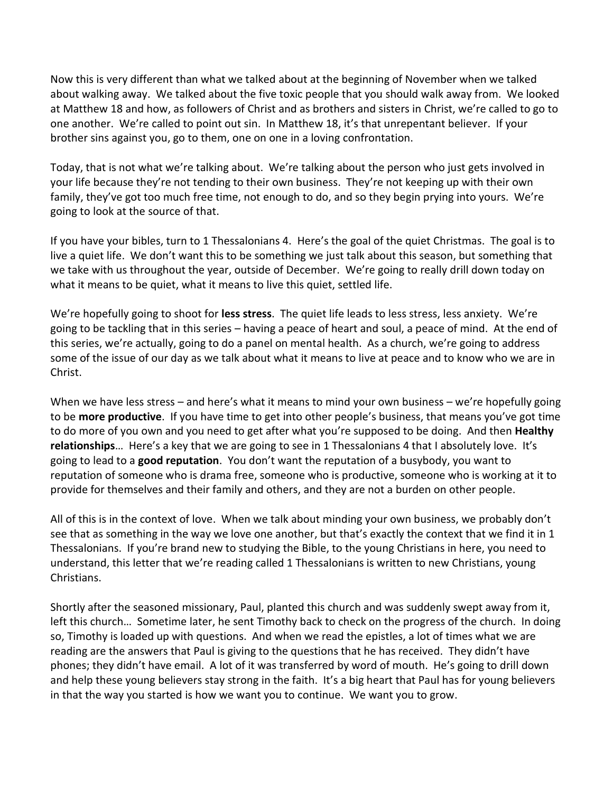Now this is very different than what we talked about at the beginning of November when we talked about walking away. We talked about the five toxic people that you should walk away from. We looked at Matthew 18 and how, as followers of Christ and as brothers and sisters in Christ, we're called to go to one another. We're called to point out sin. In Matthew 18, it's that unrepentant believer. If your brother sins against you, go to them, one on one in a loving confrontation.

Today, that is not what we're talking about. We're talking about the person who just gets involved in your life because they're not tending to their own business. They're not keeping up with their own family, they've got too much free time, not enough to do, and so they begin prying into yours. We're going to look at the source of that.

If you have your bibles, turn to 1 Thessalonians 4. Here's the goal of the quiet Christmas. The goal is to live a quiet life. We don't want this to be something we just talk about this season, but something that we take with us throughout the year, outside of December. We're going to really drill down today on what it means to be quiet, what it means to live this quiet, settled life.

We're hopefully going to shoot for **less stress**. The quiet life leads to less stress, less anxiety. We're going to be tackling that in this series – having a peace of heart and soul, a peace of mind. At the end of this series, we're actually, going to do a panel on mental health. As a church, we're going to address some of the issue of our day as we talk about what it means to live at peace and to know who we are in Christ.

When we have less stress – and here's what it means to mind your own business – we're hopefully going to be **more productive**. If you have time to get into other people's business, that means you've got time to do more of you own and you need to get after what you're supposed to be doing. And then **Healthy relationships**… Here's a key that we are going to see in 1 Thessalonians 4 that I absolutely love. It's going to lead to a **good reputation**. You don't want the reputation of a busybody, you want to reputation of someone who is drama free, someone who is productive, someone who is working at it to provide for themselves and their family and others, and they are not a burden on other people.

All of this is in the context of love. When we talk about minding your own business, we probably don't see that as something in the way we love one another, but that's exactly the context that we find it in 1 Thessalonians. If you're brand new to studying the Bible, to the young Christians in here, you need to understand, this letter that we're reading called 1 Thessalonians is written to new Christians, young Christians.

Shortly after the seasoned missionary, Paul, planted this church and was suddenly swept away from it, left this church… Sometime later, he sent Timothy back to check on the progress of the church. In doing so, Timothy is loaded up with questions. And when we read the epistles, a lot of times what we are reading are the answers that Paul is giving to the questions that he has received. They didn't have phones; they didn't have email. A lot of it was transferred by word of mouth. He's going to drill down and help these young believers stay strong in the faith. It's a big heart that Paul has for young believers in that the way you started is how we want you to continue. We want you to grow.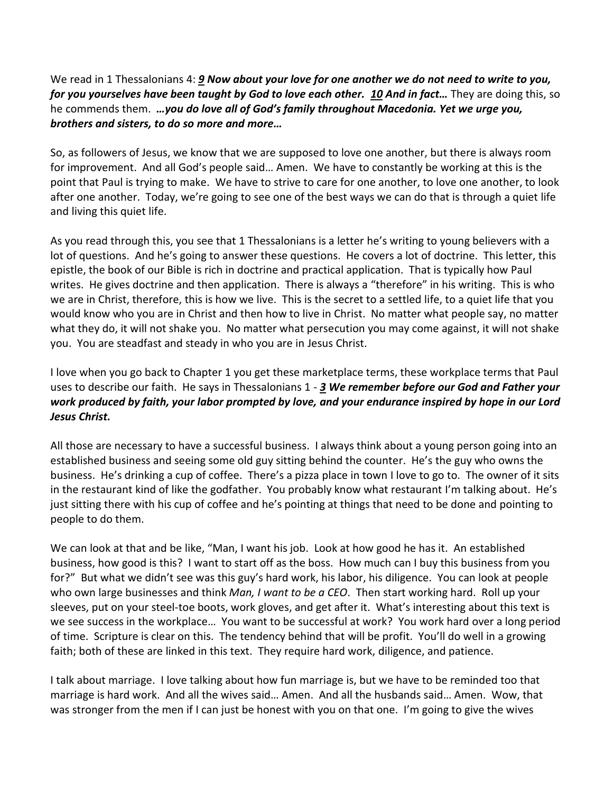We read in 1 Thessalonians 4: *[9](https://www.studylight.org/desk/?q=1th%204:9&t1=en_niv&sr=1) Now about your love for one another we do not need to write to you, for you yourselves have been taught by God to love each other. [10](https://www.studylight.org/desk/?q=1th%204:10&t1=en_niv&sr=1) And in fact…* They are doing this, so he commends them. *…you do love all of God's family throughout Macedonia. Yet we urge you, brothers and sisters, to do so more and more…* 

So, as followers of Jesus, we know that we are supposed to love one another, but there is always room for improvement. And all God's people said… Amen. We have to constantly be working at this is the point that Paul is trying to make. We have to strive to care for one another, to love one another, to look after one another. Today, we're going to see one of the best ways we can do that is through a quiet life and living this quiet life.

As you read through this, you see that 1 Thessalonians is a letter he's writing to young believers with a lot of questions. And he's going to answer these questions. He covers a lot of doctrine. This letter, this epistle, the book of our Bible is rich in doctrine and practical application. That is typically how Paul writes. He gives doctrine and then application. There is always a "therefore" in his writing. This is who we are in Christ, therefore, this is how we live. This is the secret to a settled life, to a quiet life that you would know who you are in Christ and then how to live in Christ. No matter what people say, no matter what they do, it will not shake you. No matter what persecution you may come against, it will not shake you. You are steadfast and steady in who you are in Jesus Christ.

I love when you go back to Chapter 1 you get these marketplace terms, these workplace terms that Paul uses to describe our faith. He says in Thessalonians 1 - *[3](https://www.studylight.org/desk/?q=1th%201:3&t1=en_niv&sr=1) We remember before our God and Father your work produced by faith, your labor prompted by love, and your endurance inspired by hope in our Lord Jesus Christ.*

All those are necessary to have a successful business. I always think about a young person going into an established business and seeing some old guy sitting behind the counter. He's the guy who owns the business. He's drinking a cup of coffee. There's a pizza place in town I love to go to. The owner of it sits in the restaurant kind of like the godfather. You probably know what restaurant I'm talking about. He's just sitting there with his cup of coffee and he's pointing at things that need to be done and pointing to people to do them.

We can look at that and be like, "Man, I want his job. Look at how good he has it. An established business, how good is this? I want to start off as the boss. How much can I buy this business from you for?" But what we didn't see was this guy's hard work, his labor, his diligence. You can look at people who own large businesses and think *Man, I want to be a CEO*. Then start working hard. Roll up your sleeves, put on your steel-toe boots, work gloves, and get after it. What's interesting about this text is we see success in the workplace… You want to be successful at work? You work hard over a long period of time. Scripture is clear on this. The tendency behind that will be profit. You'll do well in a growing faith; both of these are linked in this text. They require hard work, diligence, and patience.

I talk about marriage. I love talking about how fun marriage is, but we have to be reminded too that marriage is hard work. And all the wives said… Amen. And all the husbands said… Amen. Wow, that was stronger from the men if I can just be honest with you on that one. I'm going to give the wives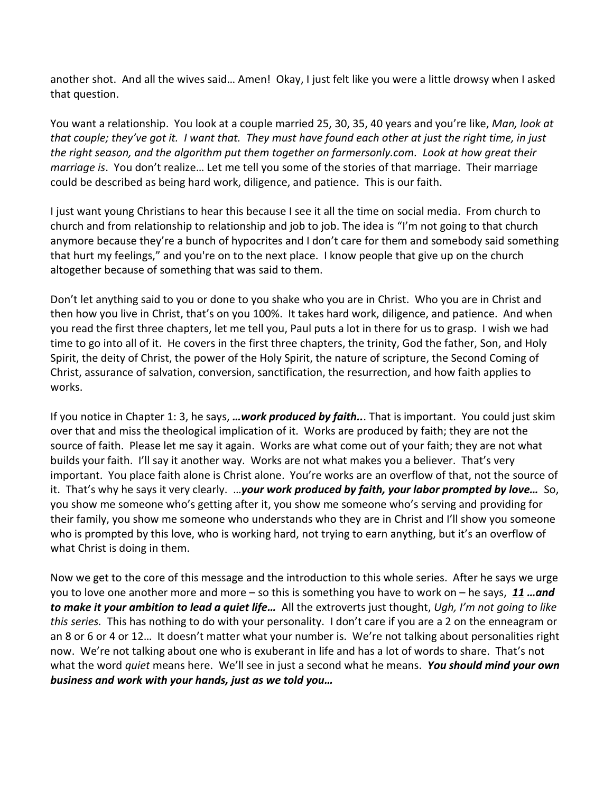another shot. And all the wives said… Amen! Okay, I just felt like you were a little drowsy when I asked that question.

You want a relationship. You look at a couple married 25, 30, 35, 40 years and you're like, *Man, look at that couple; they've got it. I want that. They must have found each other at just the right time, in just the right season, and the algorithm put them together on farmersonly.com. Look at how great their marriage is*. You don't realize… Let me tell you some of the stories of that marriage. Their marriage could be described as being hard work, diligence, and patience. This is our faith.

I just want young Christians to hear this because I see it all the time on social media. From church to church and from relationship to relationship and job to job. The idea is "I'm not going to that church anymore because they're a bunch of hypocrites and I don't care for them and somebody said something that hurt my feelings," and you're on to the next place. I know people that give up on the church altogether because of something that was said to them.

Don't let anything said to you or done to you shake who you are in Christ. Who you are in Christ and then how you live in Christ, that's on you 100%. It takes hard work, diligence, and patience. And when you read the first three chapters, let me tell you, Paul puts a lot in there for us to grasp. I wish we had time to go into all of it. He covers in the first three chapters, the trinity, God the father, Son, and Holy Spirit, the deity of Christ, the power of the Holy Spirit, the nature of scripture, the Second Coming of Christ, assurance of salvation, conversion, sanctification, the resurrection, and how faith applies to works.

If you notice in Chapter 1: 3, he says, *…work produced by faith..*. That is important. You could just skim over that and miss the theological implication of it. Works are produced by faith; they are not the source of faith. Please let me say it again. Works are what come out of your faith; they are not what builds your faith. I'll say it another way. Works are not what makes you a believer. That's very important. You place faith alone is Christ alone. You're works are an overflow of that, not the source of it. That's why he says it very clearly. …*your work produced by faith, your labor prompted by love…* So, you show me someone who's getting after it, you show me someone who's serving and providing for their family, you show me someone who understands who they are in Christ and I'll show you someone who is prompted by this love, who is working hard, not trying to earn anything, but it's an overflow of what Christ is doing in them.

Now we get to the core of this message and the introduction to this whole series. After he says we urge you to love one another more and more – so this is something you have to work on – he says, *[11](https://www.studylight.org/desk/?q=1th%204:11&t1=en_niv&sr=1) …and to make it your ambition to lead a quiet life…* All the extroverts just thought, *Ugh, I'm not going to like this series.* This has nothing to do with your personality. I don't care if you are a 2 on the enneagram or an 8 or 6 or 4 or 12… It doesn't matter what your number is. We're not talking about personalities right now. We're not talking about one who is exuberant in life and has a lot of words to share. That's not what the word *quiet* means here. We'll see in just a second what he means. *You should mind your own business and work with your hands, just as we told you…*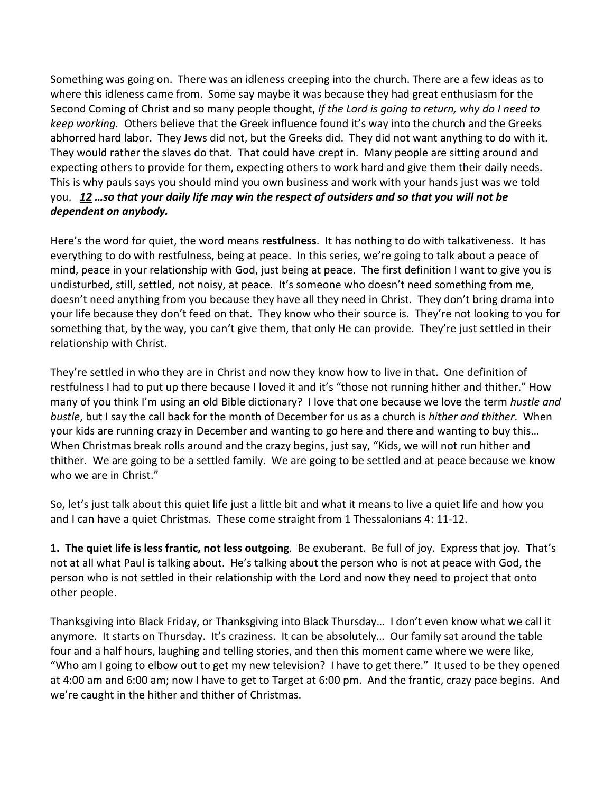Something was going on. There was an idleness creeping into the church. There are a few ideas as to where this idleness came from. Some say maybe it was because they had great enthusiasm for the Second Coming of Christ and so many people thought, *If the Lord is going to return, why do I need to keep working.* Others believe that the Greek influence found it's way into the church and the Greeks abhorred hard labor. They Jews did not, but the Greeks did. They did not want anything to do with it. They would rather the slaves do that. That could have crept in. Many people are sitting around and expecting others to provide for them, expecting others to work hard and give them their daily needs. This is why pauls says you should mind you own business and work with your hands just was we told you. *[12](https://www.studylight.org/desk/?q=1th%204:12&t1=en_niv&sr=1) …so that your daily life may win the respect of outsiders and so that you will not be dependent on anybody.*

Here's the word for quiet, the word means **restfulness**. It has nothing to do with talkativeness. It has everything to do with restfulness, being at peace. In this series, we're going to talk about a peace of mind, peace in your relationship with God, just being at peace. The first definition I want to give you is undisturbed, still, settled, not noisy, at peace. It's someone who doesn't need something from me, doesn't need anything from you because they have all they need in Christ. They don't bring drama into your life because they don't feed on that. They know who their source is. They're not looking to you for something that, by the way, you can't give them, that only He can provide. They're just settled in their relationship with Christ.

They're settled in who they are in Christ and now they know how to live in that. One definition of restfulness I had to put up there because I loved it and it's "those not running hither and thither." How many of you think I'm using an old Bible dictionary? I love that one because we love the term *hustle and bustle*, but I say the call back for the month of December for us as a church is *hither and thither*. When your kids are running crazy in December and wanting to go here and there and wanting to buy this… When Christmas break rolls around and the crazy begins, just say, "Kids, we will not run hither and thither. We are going to be a settled family. We are going to be settled and at peace because we know who we are in Christ."

So, let's just talk about this quiet life just a little bit and what it means to live a quiet life and how you and I can have a quiet Christmas. These come straight from 1 Thessalonians 4: 11-12.

**1. The quiet life is less frantic, not less outgoing**. Be exuberant. Be full of joy. Express that joy. That's not at all what Paul is talking about. He's talking about the person who is not at peace with God, the person who is not settled in their relationship with the Lord and now they need to project that onto other people.

Thanksgiving into Black Friday, or Thanksgiving into Black Thursday… I don't even know what we call it anymore. It starts on Thursday. It's craziness. It can be absolutely… Our family sat around the table four and a half hours, laughing and telling stories, and then this moment came where we were like, "Who am I going to elbow out to get my new television? I have to get there." It used to be they opened at 4:00 am and 6:00 am; now I have to get to Target at 6:00 pm. And the frantic, crazy pace begins. And we're caught in the hither and thither of Christmas.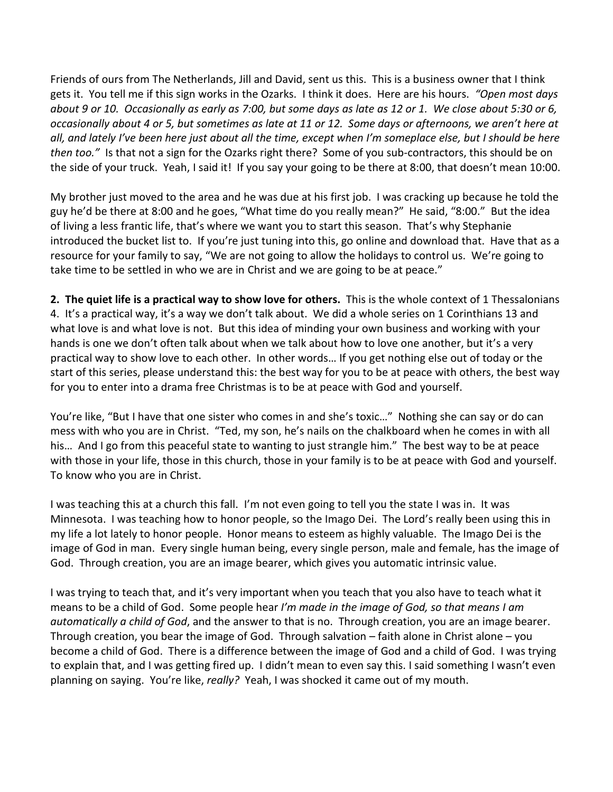Friends of ours from The Netherlands, Jill and David, sent us this. This is a business owner that I think gets it. You tell me if this sign works in the Ozarks. I think it does. Here are his hours. *"Open most days about 9 or 10. Occasionally as early as 7:00, but some days as late as 12 or 1. We close about 5:30 or 6, occasionally about 4 or 5, but sometimes as late at 11 or 12. Some days or afternoons, we aren't here at all, and lately I've been here just about all the time, except when I'm someplace else, but I should be here then too."* Is that not a sign for the Ozarks right there? Some of you sub-contractors, this should be on the side of your truck. Yeah, I said it! If you say your going to be there at 8:00, that doesn't mean 10:00.

My brother just moved to the area and he was due at his first job. I was cracking up because he told the guy he'd be there at 8:00 and he goes, "What time do you really mean?" He said, "8:00." But the idea of living a less frantic life, that's where we want you to start this season. That's why Stephanie introduced the bucket list to. If you're just tuning into this, go online and download that. Have that as a resource for your family to say, "We are not going to allow the holidays to control us. We're going to take time to be settled in who we are in Christ and we are going to be at peace."

**2. The quiet life is a practical way to show love for others.** This is the whole context of 1 Thessalonians 4. It's a practical way, it's a way we don't talk about. We did a whole series on 1 Corinthians 13 and what love is and what love is not. But this idea of minding your own business and working with your hands is one we don't often talk about when we talk about how to love one another, but it's a very practical way to show love to each other. In other words… If you get nothing else out of today or the start of this series, please understand this: the best way for you to be at peace with others, the best way for you to enter into a drama free Christmas is to be at peace with God and yourself.

You're like, "But I have that one sister who comes in and she's toxic…" Nothing she can say or do can mess with who you are in Christ. "Ted, my son, he's nails on the chalkboard when he comes in with all his… And I go from this peaceful state to wanting to just strangle him." The best way to be at peace with those in your life, those in this church, those in your family is to be at peace with God and yourself. To know who you are in Christ.

I was teaching this at a church this fall. I'm not even going to tell you the state I was in. It was Minnesota. I was teaching how to honor people, so the Imago Dei. The Lord's really been using this in my life a lot lately to honor people. Honor means to esteem as highly valuable. The Imago Dei is the image of God in man. Every single human being, every single person, male and female, has the image of God. Through creation, you are an image bearer, which gives you automatic intrinsic value.

I was trying to teach that, and it's very important when you teach that you also have to teach what it means to be a child of God. Some people hear *I'm made in the image of God, so that means I am automatically a child of God*, and the answer to that is no. Through creation, you are an image bearer. Through creation, you bear the image of God. Through salvation  $-$  faith alone in Christ alone  $-$  you become a child of God. There is a difference between the image of God and a child of God. I was trying to explain that, and I was getting fired up. I didn't mean to even say this. I said something I wasn't even planning on saying. You're like, *really?* Yeah, I was shocked it came out of my mouth.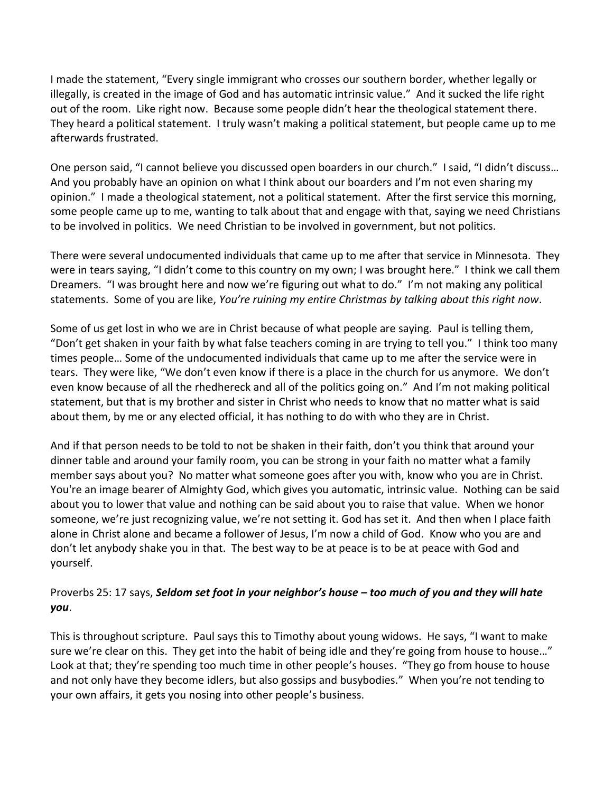I made the statement, "Every single immigrant who crosses our southern border, whether legally or illegally, is created in the image of God and has automatic intrinsic value." And it sucked the life right out of the room. Like right now. Because some people didn't hear the theological statement there. They heard a political statement. I truly wasn't making a political statement, but people came up to me afterwards frustrated.

One person said, "I cannot believe you discussed open boarders in our church." I said, "I didn't discuss… And you probably have an opinion on what I think about our boarders and I'm not even sharing my opinion." I made a theological statement, not a political statement. After the first service this morning, some people came up to me, wanting to talk about that and engage with that, saying we need Christians to be involved in politics. We need Christian to be involved in government, but not politics.

There were several undocumented individuals that came up to me after that service in Minnesota. They were in tears saying, "I didn't come to this country on my own; I was brought here." I think we call them Dreamers. "I was brought here and now we're figuring out what to do." I'm not making any political statements. Some of you are like, *You're ruining my entire Christmas by talking about this right now*.

Some of us get lost in who we are in Christ because of what people are saying. Paul is telling them, "Don't get shaken in your faith by what false teachers coming in are trying to tell you." I think too many times people… Some of the undocumented individuals that came up to me after the service were in tears. They were like, "We don't even know if there is a place in the church for us anymore. We don't even know because of all the rhedhereck and all of the politics going on." And I'm not making political statement, but that is my brother and sister in Christ who needs to know that no matter what is said about them, by me or any elected official, it has nothing to do with who they are in Christ.

And if that person needs to be told to not be shaken in their faith, don't you think that around your dinner table and around your family room, you can be strong in your faith no matter what a family member says about you? No matter what someone goes after you with, know who you are in Christ. You're an image bearer of Almighty God, which gives you automatic, intrinsic value. Nothing can be said about you to lower that value and nothing can be said about you to raise that value. When we honor someone, we're just recognizing value, we're not setting it. God has set it. And then when I place faith alone in Christ alone and became a follower of Jesus, I'm now a child of God. Know who you are and don't let anybody shake you in that. The best way to be at peace is to be at peace with God and yourself.

## Proverbs 25: 17 says, *Seldom set foot in your neighbor's house – too much of you and they will hate you*.

This is throughout scripture. Paul says this to Timothy about young widows. He says, "I want to make sure we're clear on this. They get into the habit of being idle and they're going from house to house…" Look at that; they're spending too much time in other people's houses. "They go from house to house and not only have they become idlers, but also gossips and busybodies." When you're not tending to your own affairs, it gets you nosing into other people's business.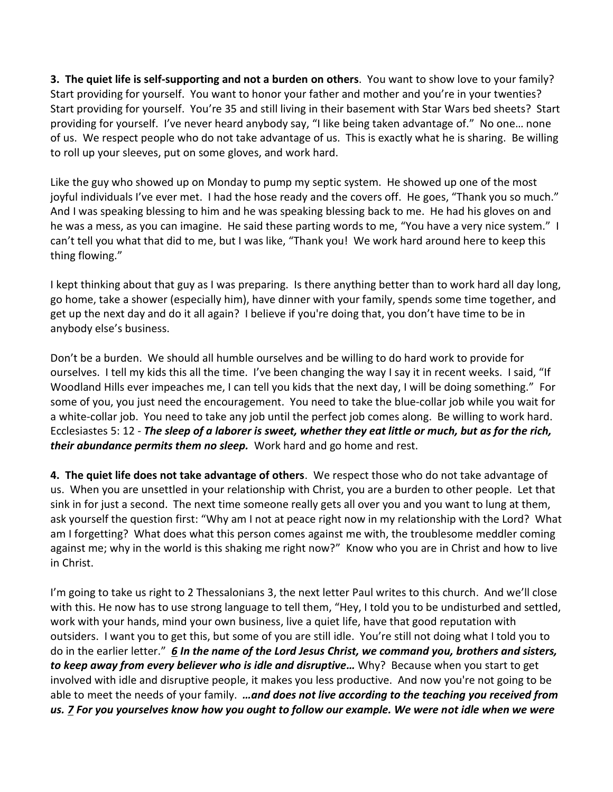**3. The quiet life is self-supporting and not a burden on others**. You want to show love to your family? Start providing for yourself. You want to honor your father and mother and you're in your twenties? Start providing for yourself. You're 35 and still living in their basement with Star Wars bed sheets? Start providing for yourself. I've never heard anybody say, "I like being taken advantage of." No one… none of us. We respect people who do not take advantage of us. This is exactly what he is sharing. Be willing to roll up your sleeves, put on some gloves, and work hard.

Like the guy who showed up on Monday to pump my septic system. He showed up one of the most joyful individuals I've ever met. I had the hose ready and the covers off. He goes, "Thank you so much." And I was speaking blessing to him and he was speaking blessing back to me. He had his gloves on and he was a mess, as you can imagine. He said these parting words to me, "You have a very nice system." I can't tell you what that did to me, but I was like, "Thank you! We work hard around here to keep this thing flowing."

I kept thinking about that guy as I was preparing. Is there anything better than to work hard all day long, go home, take a shower (especially him), have dinner with your family, spends some time together, and get up the next day and do it all again? I believe if you're doing that, you don't have time to be in anybody else's business.

Don't be a burden. We should all humble ourselves and be willing to do hard work to provide for ourselves. I tell my kids this all the time. I've been changing the way I say it in recent weeks. I said, "If Woodland Hills ever impeaches me, I can tell you kids that the next day, I will be doing something." For some of you, you just need the encouragement. You need to take the blue-collar job while you wait for a white-collar job. You need to take any job until the perfect job comes along. Be willing to work hard. Ecclesiastes 5: 12 - *The sleep of a laborer is sweet, whether they eat little or much, but as for the rich, their abundance permits them no sleep.* Work hard and go home and rest.

**4. The quiet life does not take advantage of others**. We respect those who do not take advantage of us. When you are unsettled in your relationship with Christ, you are a burden to other people. Let that sink in for just a second. The next time someone really gets all over you and you want to lung at them, ask yourself the question first: "Why am I not at peace right now in my relationship with the Lord? What am I forgetting? What does what this person comes against me with, the troublesome meddler coming against me; why in the world is this shaking me right now?" Know who you are in Christ and how to live in Christ.

I'm going to take us right to 2 Thessalonians 3, the next letter Paul writes to this church. And we'll close with this. He now has to use strong language to tell them, "Hey, I told you to be undisturbed and settled, work with your hands, mind your own business, live a quiet life, have that good reputation with outsiders. I want you to get this, but some of you are still idle. You're still not doing what I told you to do in the earlier letter." *[6](https://www.studylight.org/desk/?q=2th%203:6&t1=en_niv&sr=1) In the name of the Lord Jesus Christ, we command you, brothers and sisters, to keep away from every believer who is idle and disruptive…* Why? Because when you start to get involved with idle and disruptive people, it makes you less productive. And now you're not going to be able to meet the needs of your family. *…and does not live according to the teaching you received from us. [7](https://www.studylight.org/desk/?q=2th%203:7&t1=en_niv&sr=1) For you yourselves know how you ought to follow our example. We were not idle when we were*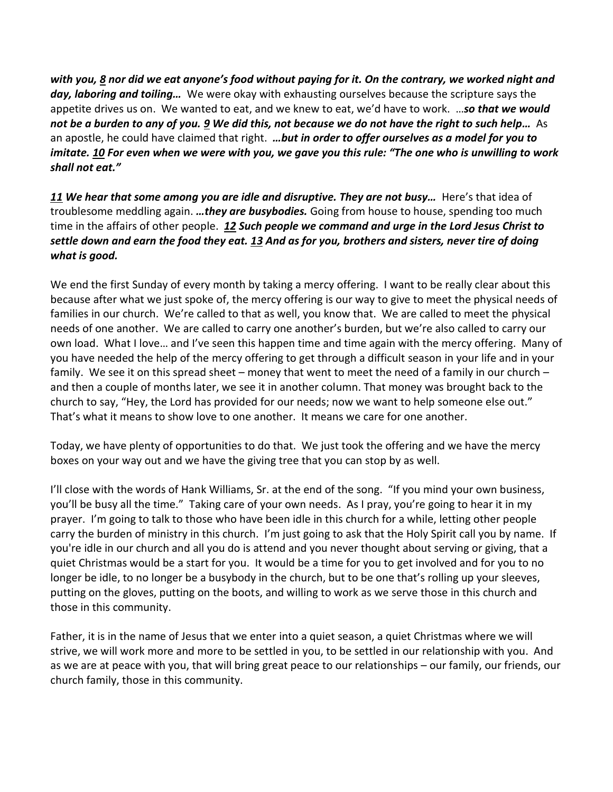*with you, [8](https://www.studylight.org/desk/?q=2th%203:8&t1=en_niv&sr=1) nor did we eat anyone's food without paying for it. On the contrary, we worked night and day, laboring and toiling…* We were okay with exhausting ourselves because the scripture says the appetite drives us on. We wanted to eat, and we knew to eat, we'd have to work. …*so that we would not be a burden to any of you. [9](https://www.studylight.org/desk/?q=2th%203:9&t1=en_niv&sr=1) We did this, not because we do not have the right to such help…* As an apostle, he could have claimed that right. *…but in order to offer ourselves as a model for you to imitate. [10](https://www.studylight.org/desk/?q=2th%203:10&t1=en_niv&sr=1) For even when we were with you, we gave you this rule: "The one who is unwilling to work shall not eat."*

*[11](https://www.studylight.org/desk/?q=2th%203:11&t1=en_niv&sr=1) We hear that some among you are idle and disruptive. They are not busy…* Here's that idea of troublesome meddling again. *…they are busybodies.* Going from house to house, spending too much time in the affairs of other people. *[12](https://www.studylight.org/desk/?q=2th%203:12&t1=en_niv&sr=1) Such people we command and urge in the Lord Jesus Christ to settle down and earn the food they eat. [13](https://www.studylight.org/desk/?q=2th%203:13&t1=en_niv&sr=1) And as for you, brothers and sisters, never tire of doing what is good.*

We end the first Sunday of every month by taking a mercy offering. I want to be really clear about this because after what we just spoke of, the mercy offering is our way to give to meet the physical needs of families in our church. We're called to that as well, you know that. We are called to meet the physical needs of one another. We are called to carry one another's burden, but we're also called to carry our own load. What I love… and I've seen this happen time and time again with the mercy offering. Many of you have needed the help of the mercy offering to get through a difficult season in your life and in your family. We see it on this spread sheet – money that went to meet the need of a family in our church – and then a couple of months later, we see it in another column. That money was brought back to the church to say, "Hey, the Lord has provided for our needs; now we want to help someone else out." That's what it means to show love to one another. It means we care for one another.

Today, we have plenty of opportunities to do that. We just took the offering and we have the mercy boxes on your way out and we have the giving tree that you can stop by as well.

I'll close with the words of Hank Williams, Sr. at the end of the song. "If you mind your own business, you'll be busy all the time." Taking care of your own needs. As I pray, you're going to hear it in my prayer. I'm going to talk to those who have been idle in this church for a while, letting other people carry the burden of ministry in this church. I'm just going to ask that the Holy Spirit call you by name. If you're idle in our church and all you do is attend and you never thought about serving or giving, that a quiet Christmas would be a start for you. It would be a time for you to get involved and for you to no longer be idle, to no longer be a busybody in the church, but to be one that's rolling up your sleeves, putting on the gloves, putting on the boots, and willing to work as we serve those in this church and those in this community.

Father, it is in the name of Jesus that we enter into a quiet season, a quiet Christmas where we will strive, we will work more and more to be settled in you, to be settled in our relationship with you. And as we are at peace with you, that will bring great peace to our relationships – our family, our friends, our church family, those in this community.